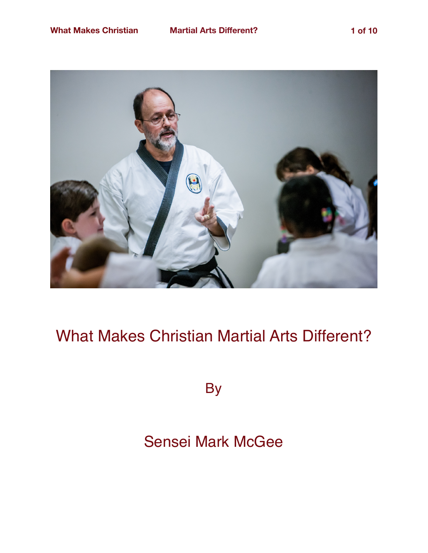

## What Makes Christian Martial Arts Different?

**By** 

## Sensei Mark McGee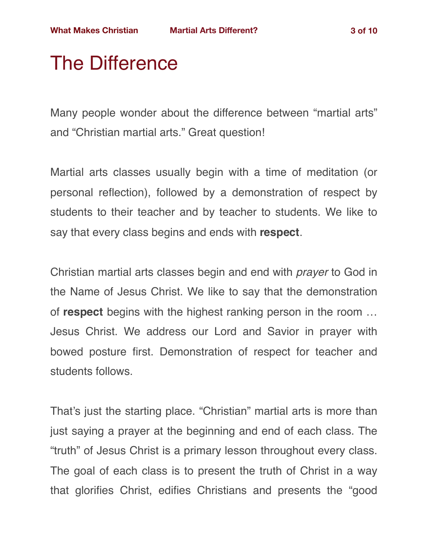# The Difference

Many people wonder about the difference between "martial arts" and "Christian martial arts." Great question!

Martial arts classes usually begin with a time of meditation (or personal reflection), followed by a demonstration of respect by students to their teacher and by teacher to students. We like to say that every class begins and ends with **respect**.

Christian martial arts classes begin and end with *prayer* to God in the Name of Jesus Christ. We like to say that the demonstration of **respect** begins with the highest ranking person in the room … Jesus Christ. We address our Lord and Savior in prayer with bowed posture first. Demonstration of respect for teacher and students follows.

That's just the starting place. "Christian" martial arts is more than just saying a prayer at the beginning and end of each class. The "truth" of Jesus Christ is a primary lesson throughout every class. The goal of each class is to present the truth of Christ in a way that glorifies Christ, edifies Christians and presents the "good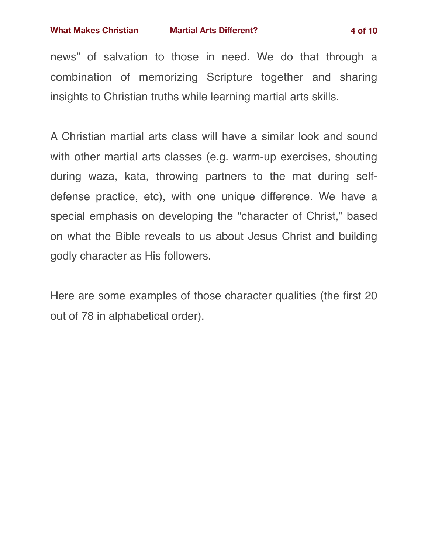insights to Christian truths while learning martial arts skills.

news" of salvation to those in need. We do that through a combination of memorizing Scripture together and sharing

A Christian martial arts class will have a similar look and sound with other martial arts classes (e.g. warm-up exercises, shouting during waza, kata, throwing partners to the mat during selfdefense practice, etc), with one unique difference. We have a special emphasis on developing the "character of Christ," based on what the Bible reveals to us about Jesus Christ and building godly character as His followers.

Here are some examples of those character qualities (the first 20 out of 78 in alphabetical order).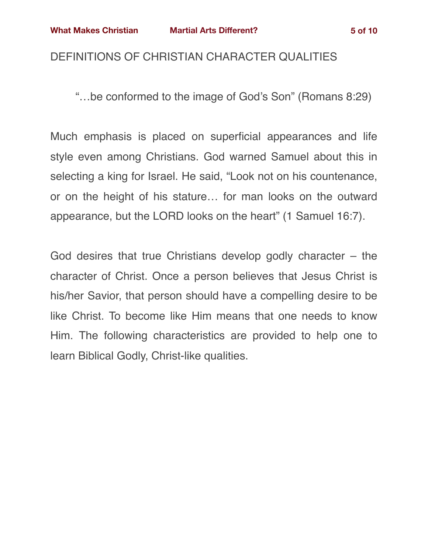#### DEFINITIONS OF CHRISTIAN CHARACTER QUALITIES

"…be conformed to the image of God's Son" (Romans 8:29)

Much emphasis is placed on superficial appearances and life style even among Christians. God warned Samuel about this in selecting a king for Israel. He said, "Look not on his countenance, or on the height of his stature… for man looks on the outward appearance, but the LORD looks on the heart" (1 Samuel 16:7).

God desires that true Christians develop godly character – the character of Christ. Once a person believes that Jesus Christ is his/her Savior, that person should have a compelling desire to be like Christ. To become like Him means that one needs to know Him. The following characteristics are provided to help one to learn Biblical Godly, Christ-like qualities.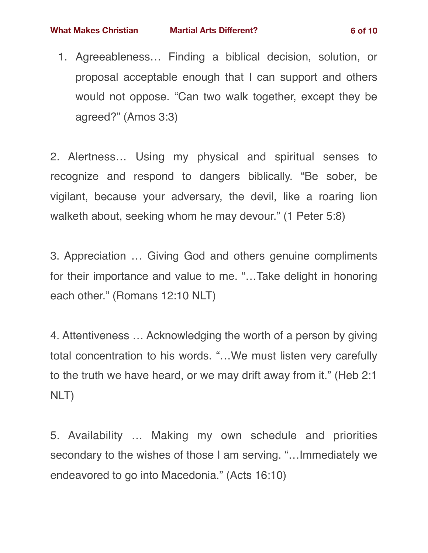1. Agreeableness… Finding a biblical decision, solution, or proposal acceptable enough that I can support and others would not oppose. "Can two walk together, except they be agreed?" (Amos 3:3)

2. Alertness… Using my physical and spiritual senses to recognize and respond to dangers biblically. "Be sober, be vigilant, because your adversary, the devil, like a roaring lion walketh about, seeking whom he may devour." (1 Peter 5:8)

3. Appreciation … Giving God and others genuine compliments for their importance and value to me. "…Take delight in honoring each other." (Romans 12:10 NLT)

4. Attentiveness … Acknowledging the worth of a person by giving total concentration to his words. "…We must listen very carefully to the truth we have heard, or we may drift away from it." (Heb 2:1 NLT)

5. Availability … Making my own schedule and priorities secondary to the wishes of those I am serving. "…Immediately we endeavored to go into Macedonia." (Acts 16:10)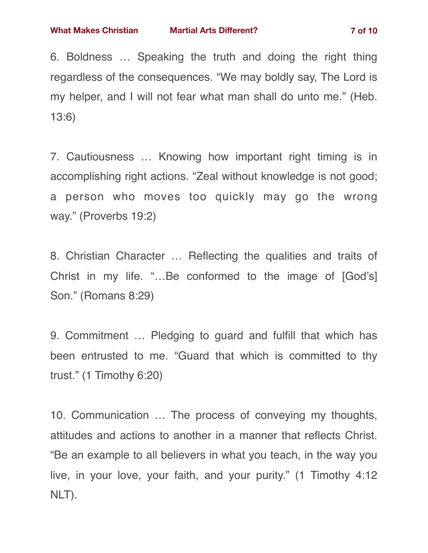6. Boldness … Speaking the truth and doing the right thing regardless of the consequences. "We may boldly say, The Lord is my helper, and I will not fear what man shall do unto me." (Heb. 13:6)

7. Cautiousness … Knowing how important right timing is in accomplishing right actions. "Zeal without knowledge is not good; a person who moves too quickly may go the wrong way." (Proverbs 19:2)

8. Christian Character … Reflecting the qualities and traits of Christ in my life. "…Be conformed to the image of [God's] Son." (Romans 8:29)

9. Commitment … Pledging to guard and fulfill that which has been entrusted to me. "Guard that which is committed to thy trust." (1 Timothy 6:20)

10. Communication … The process of conveying my thoughts, attitudes and actions to another in a manner that reflects Christ. "Be an example to all believers in what you teach, in the way you live, in your love, your faith, and your purity." (1 Timothy 4:12 NLT).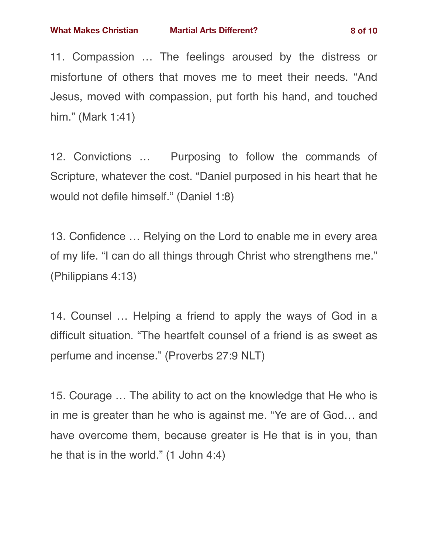11. Compassion … The feelings aroused by the distress or misfortune of others that moves me to meet their needs. "And Jesus, moved with compassion, put forth his hand, and touched him." (Mark 1:41)

12. Convictions … Purposing to follow the commands of Scripture, whatever the cost. "Daniel purposed in his heart that he would not defile himself." (Daniel 1:8)

13. Confidence … Relying on the Lord to enable me in every area of my life. "I can do all things through Christ who strengthens me." (Philippians 4:13)

14. Counsel … Helping a friend to apply the ways of God in a difficult situation. "The heartfelt counsel of a friend is as sweet as perfume and incense." (Proverbs 27:9 NLT)

15. Courage … The ability to act on the knowledge that He who is in me is greater than he who is against me. "Ye are of God… and have overcome them, because greater is He that is in you, than he that is in the world." (1 John 4:4)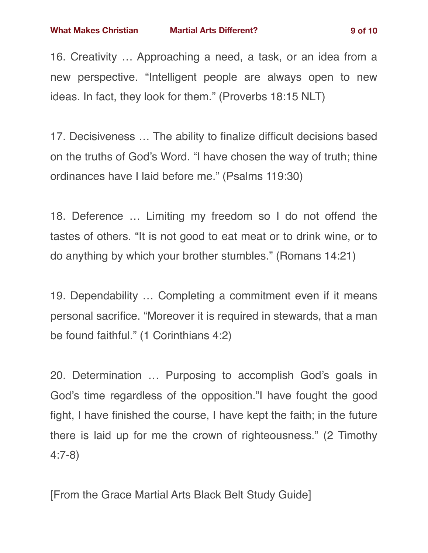17. Decisiveness … The ability to finalize difficult decisions based on the truths of God's Word. "I have chosen the way of truth; thine ordinances have I laid before me." (Psalms 119:30)

18. Deference … Limiting my freedom so I do not offend the tastes of others. "It is not good to eat meat or to drink wine, or to do anything by which your brother stumbles." (Romans 14:21)

19. Dependability … Completing a commitment even if it means personal sacrifice. "Moreover it is required in stewards, that a man be found faithful." (1 Corinthians 4:2)

20. Determination … Purposing to accomplish God's goals in God's time regardless of the opposition."I have fought the good fight, I have finished the course, I have kept the faith; in the future there is laid up for me the crown of righteousness." (2 Timothy 4:7-8)

[From the Grace Martial Arts Black Belt Study Guide]